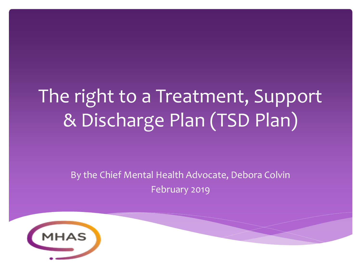# The right to a Treatment, Support & Discharge Plan (TSD Plan)

By the Chief Mental Health Advocate, Debora Colvin February 2019

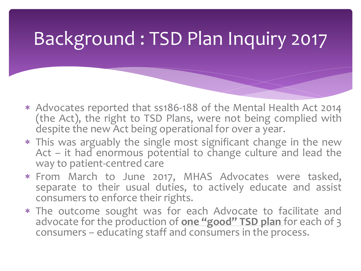### Background : TSD Plan Inquiry 2017

- Advocates reported that ss186-188 of the Mental Health Act 2014 (the Act), the right to TSD Plans, were not being complied with despite the new Act being operational for over a year.
- This was arguably the single most significant change in the new Act – it had enormous potential to change culture and lead the way to patient-centred care
- From March to June 2017, MHAS Advocates were tasked, separate to their usual duties, to actively educate and assist consumers to enforce their rights.
- The outcome sought was for each Advocate to facilitate and advocate for the production of **one "good" TSD plan** for each of 3 consumers – educating staff and consumers in the process.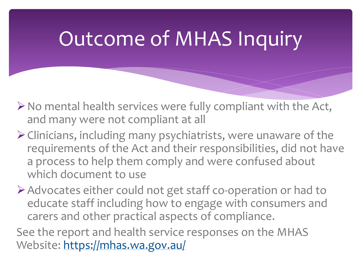# Outcome of MHAS Inquiry

- $\triangleright$  No mental health services were fully compliant with the Act, and many were not compliant at all
- ➢Clinicians, including many psychiatrists, were unaware of the requirements of the Act and their responsibilities, did not have a process to help them comply and were confused about which document to use

➢Advocates either could not get staff co-operation or had to educate staff including how to engage with consumers and carers and other practical aspects of compliance.

See the report and health service responses on the MHAS Website:<https://mhas.wa.gov.au/>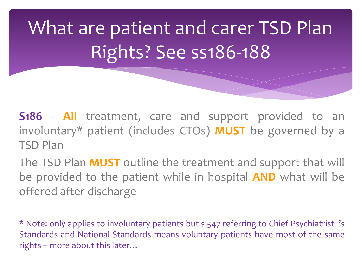What are patient and carer TSD Plan Rights? See ss186-188

**S186** - **All** treatment, care and support provided to an involuntary\* patient (includes CTOs) **MUST** be governed by a TSD Plan

The TSD Plan **MUST** outline the treatment and support that will be provided to the patient while in hospital **AND** what will be offered after discharge

\* Note: only applies to involuntary patients but s 547 referring to Chief Psychiatrist 's Standards and National Standards means voluntary patients have most of the same rights – more about this later…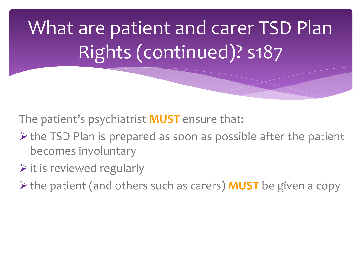What are patient and carer TSD Plan Rights (continued)? s187

The patient's psychiatrist **MUST** ensure that:

- ➢the TSD Plan is prepared as soon as possible after the patient becomes involuntary
- $\triangleright$  it is reviewed regularly
- ➢the patient (and others such as carers) **MUST** be given a copy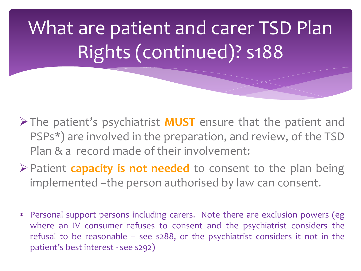What are patient and carer TSD Plan Rights (continued)? s188

- ➢The patient's psychiatrist **MUST** ensure that the patient and PSPs\*) are involved in the preparation, and review, of the TSD Plan & a record made of their involvement:
- ➢Patient **capacity is not needed** to consent to the plan being implemented –the person authorised by law can consent.
- Personal support persons including carers. Note there are exclusion powers (eg where an IV consumer refuses to consent and the psychiatrist considers the refusal to be reasonable – see s288, or the psychiatrist considers it not in the patient's best interest - see s292)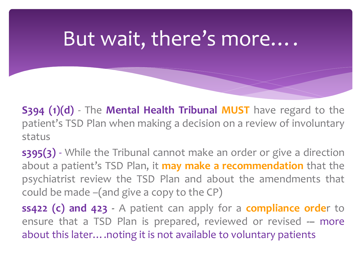## But wait, there's more….

**S394 (1)(d)** - The **Mental Health Tribunal MUST** have regard to the patient's TSD Plan when making a decision on a review of involuntary status

**s395(3)** - While the Tribunal cannot make an order or give a direction about a patient's TSD Plan, it **may make a recommendation** that the psychiatrist review the TSD Plan and about the amendments that could be made –(and give a copy to the CP)

**ss422 (c) and 423 -** A patient can apply for a **compliance orde**r to ensure that a TSD Plan is prepared, reviewed or revised **-–** more about this later.... noting it is not available to voluntary patients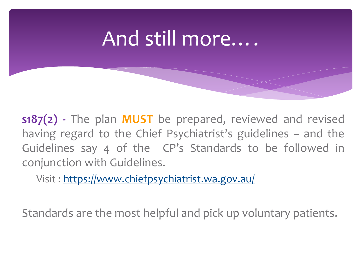## And still more….

**s187(2) -** The plan **MUST** be prepared, reviewed and revised having regard to the Chief Psychiatrist's guidelines **–** and the Guidelines say 4 of the CP's Standards to be followed in conjunction with Guidelines.

Visit : <https://www.chiefpsychiatrist.wa.gov.au/>

Standards are the most helpful and pick up voluntary patients.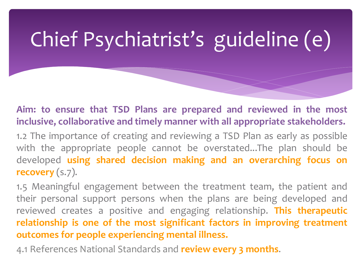# Chief Psychiatrist's guideline (e)

**Aim: to ensure that TSD Plans are prepared and reviewed in the most inclusive, collaborative and timely manner with all appropriate stakeholders.**

1.2 The importance of creating and reviewing a TSD Plan as early as possible with the appropriate people cannot be overstated...The plan should be developed **using shared decision making and an overarching focus on recovery** (s.7).

1.5 Meaningful engagement between the treatment team, the patient and their personal support persons when the plans are being developed and reviewed creates a positive and engaging relationship. **This therapeutic relationship is one of the most significant factors in improving treatment outcomes for people experiencing mental illness.**

4.1 References National Standards and **review every 3 months**.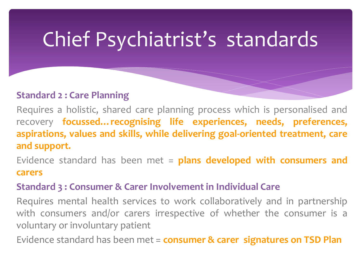# Chief Psychiatrist's standards

### **Standard 2 : Care Planning**

Requires a holistic, shared care planning process which is personalised and recovery **focussed…recognising life experiences, needs, preferences, aspirations, values and skills, while delivering goal-oriented treatment, care and support.**

Evidence standard has been met = **plans developed with consumers and carers**

### **Standard 3 : Consumer & Carer Involvement in Individual Care**

Requires mental health services to work collaboratively and in partnership with consumers and/or carers irrespective of whether the consumer is a voluntary or involuntary patient

Evidence standard has been met = **consumer & carer signatures on TSD Plan**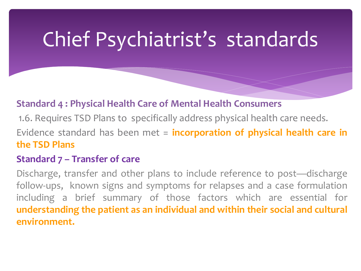# Chief Psychiatrist's standards

### **Standard 4 : Physical Health Care of Mental Health Consumers**

1.6. Requires TSD Plans to specifically address physical health care needs.

Evidence standard has been met = **incorporation of physical health care in the TSD Plans**

### **Standard 7 – Transfer of care**

Discharge, transfer and other plans to include reference to post—discharge follow-ups, known signs and symptoms for relapses and a case formulation including a brief summary of those factors which are essential for **understanding the patient as an individual and within their social and cultural environment.**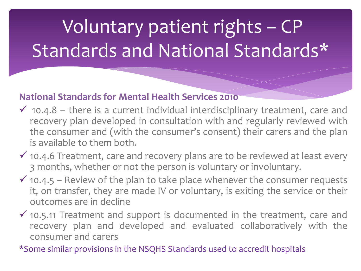# Voluntary patient rights – CP Standards and National Standards\*

### **National Standards for Mental Health Services 2010**

- $\checkmark$  10.4.8 there is a current individual interdisciplinary treatment, care and recovery plan developed in consultation with and regularly reviewed with the consumer and (with the consumer's consent) their carers and the plan is available to them both.
- $\checkmark$  10.4.6 Treatment, care and recovery plans are to be reviewed at least every 3 months, whether or not the person is voluntary or involuntary.
- $\checkmark$  10.4.5 Review of the plan to take place whenever the consumer requests it, on transfer, they are made IV or voluntary, is exiting the service or their outcomes are in decline
- $\checkmark$  10.5.11 Treatment and support is documented in the treatment, care and recovery plan and developed and evaluated collaboratively with the consumer and carers

\*Some similar provisions in the NSQHS Standards used to accredit hospitals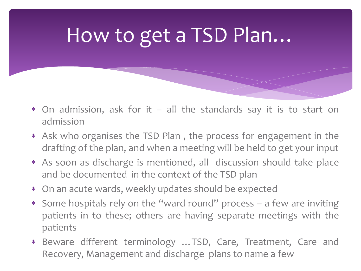# How to get a TSD Plan…

- On admission, ask for it all the standards say it is to start on admission
- Ask who organises the TSD Plan , the process for engagement in the drafting of the plan, and when a meeting will be held to get your input
- As soon as discharge is mentioned, all discussion should take place and be documented in the context of the TSD plan
- On an acute wards, weekly updates should be expected
- Some hospitals rely on the "ward round" process a few are inviting patients in to these; others are having separate meetings with the patients
- Beware different terminology …TSD, Care, Treatment, Care and Recovery, Management and discharge plans to name a few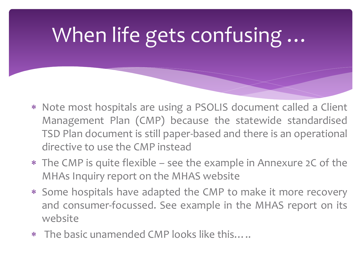# When life gets confusing …

- Note most hospitals are using a PSOLIS document called a Client Management Plan (CMP) because the statewide standardised TSD Plan document is still paper-based and there is an operational directive to use the CMP instead
- The CMP is quite flexible see the example in Annexure 2C of the MHAs Inquiry report on the MHAS website
- Some hospitals have adapted the CMP to make it more recovery and consumer-focussed. See example in the MHAS report on its website
- The basic unamended CMP looks like this…..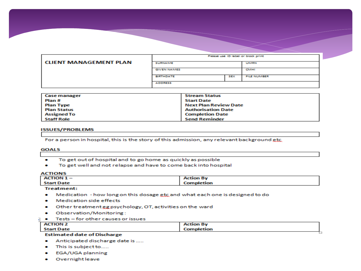|                               | Please use ID label or block print |            |                    |
|-------------------------------|------------------------------------|------------|--------------------|
| <b>CLIENT MANAGEMENT PLAN</b> | <b>SURNAME</b>                     |            | <b>UMRN</b>        |
|                               | <b>GIVEN NAMES</b>                 |            | <b>CIMEN</b>       |
|                               | <b>BIRTHDATE</b>                   | <b>SEX</b> | <b>FILE NUMBER</b> |
|                               | <b>ADDRESS</b>                     |            |                    |

| Case manager  | <b>Stream Status</b>      |
|---------------|---------------------------|
| l Plan #      | Start Date                |
| Plan Type     | Next Plan Review Date     |
| l Plan Status | <b>Authorisation Date</b> |
| Assigned To   | <b>Completion Date</b>    |
| Staff Role    | <b>Send Reminder</b>      |

#### **ISSUES/PROBLEMS**

For a person in hospital, this is the story of this admission, any relevant background etc.

#### **GOALS**

- To get out of hospital and to go home as quickly as possible  $\bullet$
- To get well and not relapse and have to come back into hospital

#### **ACTIONS**

| <b>ACTION 1-</b>  | <b>Action By</b> |
|-------------------|------------------|
| <b>Start Date</b> | Completion       |

#### **Treatment:**

- $\bullet$ Medication - how long on this dosage etc and what each one is designed to do
- Medication side effects
- Other treatment gg psychology, OT, activities on the ward
- Observation/Monitoring:
- $\bullet$  Tests for other causes or issues

| <b>ACTION 2</b> | <b>Action By</b> |
|-----------------|------------------|
| Start Date      | Completion       |
| _______<br>___  |                  |

#### **Estimated date of Discharge**

- Anticipated discharge date is .....
- This is subject to.....
- EGA/UGA planning
- · Overnight leave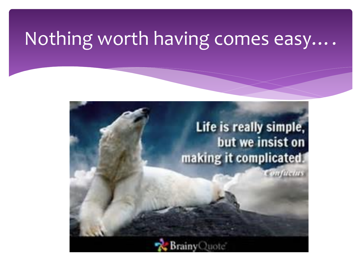### Nothing worth having comes easy….

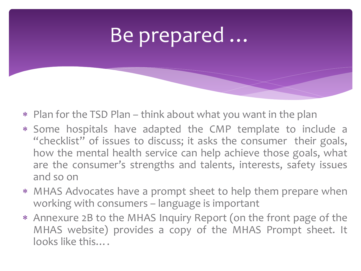## Be prepared …

- Plan for the TSD Plan think about what you want in the plan
- Some hospitals have adapted the CMP template to include a "checklist" of issues to discuss; it asks the consumer their goals, how the mental health service can help achieve those goals, what are the consumer's strengths and talents, interests, safety issues and so on
- MHAS Advocates have a prompt sheet to help them prepare when working with consumers – language is important
- Annexure 2B to the MHAS Inquiry Report (on the front page of the MHAS website) provides a copy of the MHAS Prompt sheet. It looks like this….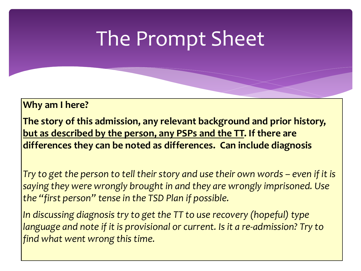## The Prompt Sheet

**Why am I here?**

**The story of this admission, any relevant background and prior history, but as described by the person, any PSPs and the TT. If there are differences they can be noted as differences. Can include diagnosis**

*Try to get the person to tell their story and use their own words – even if it is saying they were wrongly brought in and they are wrongly imprisoned. Use the "first person" tense in the TSD Plan if possible.* 

*In discussing diagnosis try to get the TT to use recovery (hopeful) type language and note if it is provisional or current. Is it a re-admission? Try to find what went wrong this time.*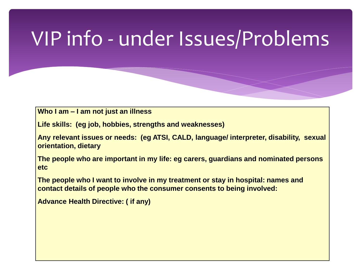# VIP info - under Issues/Problems

**Who I am – I am not just an illness**

**Life skills: (eg job, hobbies, strengths and weaknesses)**

**Any relevant issues or needs: (eg ATSI, CALD, language/ interpreter, disability, sexual orientation, dietary** 

**The people who are important in my life: eg carers, guardians and nominated persons etc**

**The people who I want to involve in my treatment or stay in hospital: names and contact details of people who the consumer consents to being involved:** 

**Advance Health Directive: ( if any)**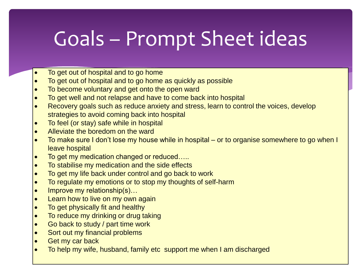# Goals – Prompt Sheet ideas

- To get out of hospital and to go home
- To get out of hospital and to go home as quickly as possible
- To become voluntary and get onto the open ward
- To get well and not relapse and have to come back into hospital
- Recovery goals such as reduce anxiety and stress, learn to control the voices, develop strategies to avoid coming back into hospital
- To feel (or stay) safe while in hospital
- Alleviate the boredom on the ward
- To make sure I don't lose my house while in hospital or to organise somewhere to go when I leave hospital
- To get my medication changed or reduced....
- To stabilise my medication and the side effects
- To get my life back under control and go back to work
- To regulate my emotions or to stop my thoughts of self-harm
- Improve my relationship(s)...
- Learn how to live on my own again
- To get physically fit and healthy
- To reduce my drinking or drug taking
- Go back to study / part time work
- Sort out my financial problems
- Get my car back
- To help my wife, husband, family etc support me when I am discharged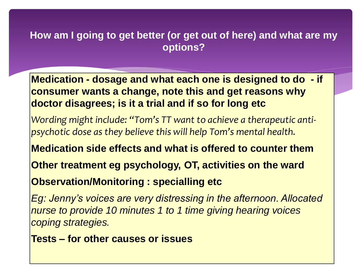### **How am I going to get better (or get out of here) and what are my options?**

**Medication - dosage and what each one is designed to do - if consumer wants a change, note this and get reasons why doctor disagrees; is it a trial and if so for long etc**

*Wording might include: "Tom's TT want to achieve a therapeutic antipsychotic dose as they believe this will help Tom's mental health.*

**Medication side effects and what is offered to counter them**

**Other treatment eg psychology, OT, activities on the ward**

**Observation/Monitoring : specialling etc**

*Eg: Jenny's voices are very distressing in the afternoon. Allocated nurse to provide 10 minutes 1 to 1 time giving hearing voices coping strategies.*

**Tests – for other causes or issues**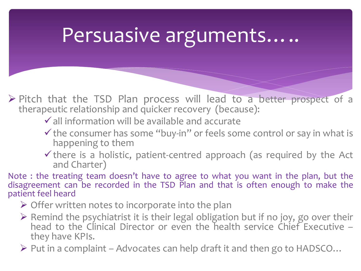### Persuasive arguments…..

- ➢ Pitch that the TSD Plan process will lead to a better prospect of a therapeutic relationship and quicker recovery (because):
	- $\checkmark$  all information will be available and accurate
	- $\checkmark$  the consumer has some "buy-in" or feels some control or say in what is happening to them
	- $\checkmark$  there is a holistic, patient-centred approach (as required by the Act and Charter)

Note : the treating team doesn't have to agree to what you want in the plan, but the disagreement can be recorded in the TSD Plan and that is often enough to make the patient feel heard

- $\triangleright$  Offer written notes to incorporate into the plan
- ➢ Remind the psychiatrist it is their legal obligation but if no joy, go over their head to the Clinical Director or even the health service Chief Executive they have KPIs.

 $\triangleright$  Put in a complaint – Advocates can help draft it and then go to HADSCO...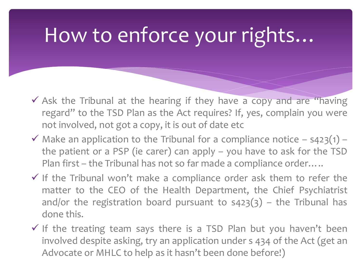# How to enforce your rights…

- ✓ Ask the Tribunal at the hearing if they have a copy and are "having regard" to the TSD Plan as the Act requires? If, yes, complain you were not involved, not got a copy, it is out of date etc
- $\checkmark$  Make an application to the Tribunal for a compliance notice s423(1) the patient or a PSP (ie carer) can apply – you have to ask for the TSD Plan first – the Tribunal has not so far made a compliance order…..
- $\checkmark$  If the Tribunal won't make a compliance order ask them to refer the matter to the CEO of the Health Department, the Chief Psychiatrist and/or the registration board pursuant to  $s423(3)$  – the Tribunal has done this.
- $\checkmark$  If the treating team says there is a TSD Plan but you haven't been involved despite asking, try an application under s 434 of the Act (get an Advocate or MHLC to help as it hasn't been done before!)